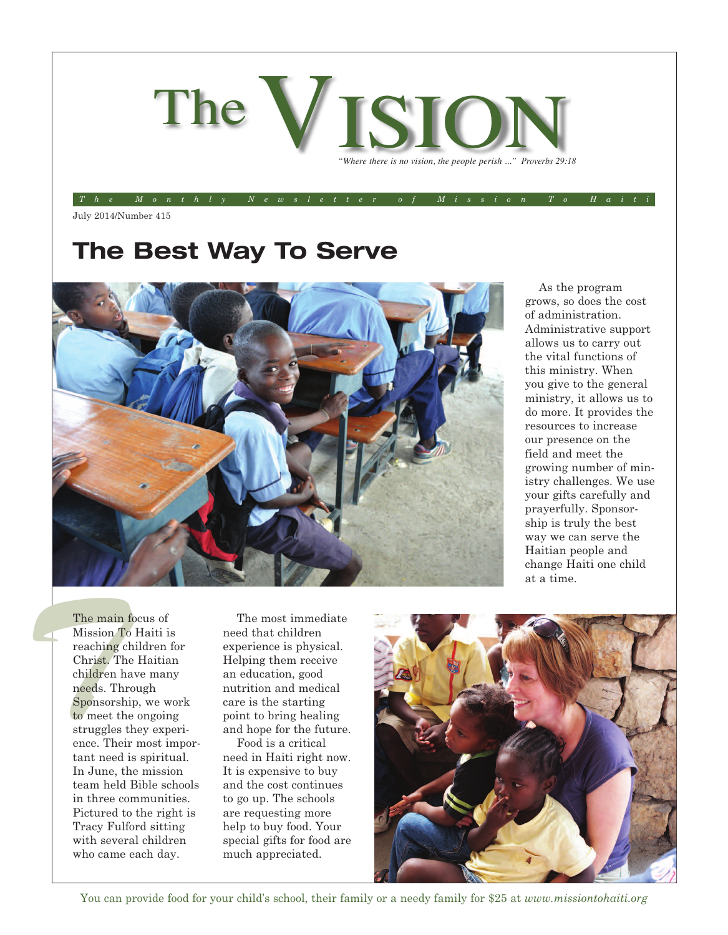

The Monthly Newsletter of Mission To Hait

July 2014/Number 415

## **The Best Way To Serve**



As the program grows, so does the cost of administration. Administrative support allows us to carry out the vital functions of this ministry. When you give to the general ministry, it allows us to do more. It provides the resources to increase our presence on the field and meet the growing number of ministry challenges. We use your gifts carefully and prayerfully. Sponsorship is truly the best way we can serve the Haitian people and change Haiti one child at a time.

The main<br>
Mission 7<br>
reaching<br>
Christ. T<br>
children<br>
needs. The<br>
Sponsors<br>
to meet t<br>
struggles<br>
ence. The<br>
tant need The main focus of Mission To Haiti is reaching children for Christ. The Haitian children have many needs. Through Sponsorship, we work to meet the ongoing struggles they experience. Their most important need is spiritual. In June, the mission team held Bible schools in three communities. Pictured to the right is Tracy Fulford sitting with several children who came each day.

The most immediate need that children experience is physical. Helping them receive an education, good nutrition and medical care is the starting point to bring healing and hope for the future.

Food is a critical need in Haiti right now. It is expensive to buy and the cost continues to go up. The schools are requesting more help to buy food. Your special gifts for food are much appreciated.